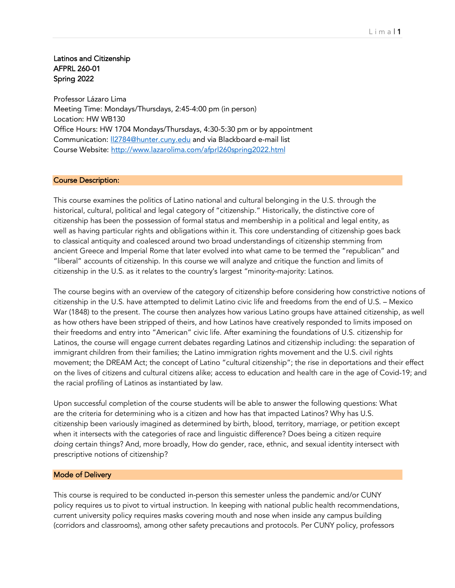# Latinos and Citizenship AFPRL 260-01 Spring 2022

Professor Lázaro Lima Meeting Time: Mondays/Thursdays, 2:45-4:00 pm (in person) Location: HW WB130 Office Hours: HW 1704 Mondays/Thursdays, 4:30-5:30 pm or by appointment Communication: ll2784@hunter.cuny.edu and via Blackboard e-mail list Course Website: http://www.lazarolima.com/afprl260spring2022.html

# Course Description:

This course examines the politics of Latino national and cultural belonging in the U.S. through the historical, cultural, political and legal category of "citizenship." Historically, the distinctive core of citizenship has been the possession of formal status and membership in a political and legal entity, as well as having particular rights and obligations within it. This core understanding of citizenship goes back to classical antiquity and coalesced around two broad understandings of citizenship stemming from ancient Greece and Imperial Rome that later evolved into what came to be termed the "republican" and "liberal" accounts of citizenship. In this course we will analyze and critique the function and limits of citizenship in the U.S. as it relates to the country's largest "minority-majority: Latinos.

The course begins with an overview of the category of citizenship before considering how constrictive notions of citizenship in the U.S. have attempted to delimit Latino civic life and freedoms from the end of U.S. – Mexico War (1848) to the present. The course then analyzes how various Latino groups have attained citizenship, as well as how others have been stripped of theirs, and how Latinos have creatively responded to limits imposed on their freedoms and entry into "American" civic life. After examining the foundations of U.S. citizenship for Latinos, the course will engage current debates regarding Latinos and citizenship including: the separation of immigrant children from their families; the Latino immigration rights movement and the U.S. civil rights movement; the DREAM Act; the concept of Latino "cultural citizenship"; the rise in deportations and their effect on the lives of citizens and cultural citizens alike; access to education and health care in the age of Covid-19; and the racial profiling of Latinos as instantiated by law.

Upon successful completion of the course students will be able to answer the following questions: What are the criteria for determining who is a citizen and how has that impacted Latinos? Why has U.S. citizenship been variously imagined as determined by birth, blood, territory, marriage, or petition except when it intersects with the categories of race and linguistic difference? Does being a citizen require *doing* certain things? And, more broadly, How do gender, race, ethnic, and sexual identity intersect with prescriptive notions of citizenship?

## Mode of Delivery

This course is required to be conducted in-person this semester unless the pandemic and/or CUNY policy requires us to pivot to virtual instruction. In keeping with national public health recommendations, current university policy requires masks covering mouth and nose when inside any campus building (corridors and classrooms), among other safety precautions and protocols. Per CUNY policy, professors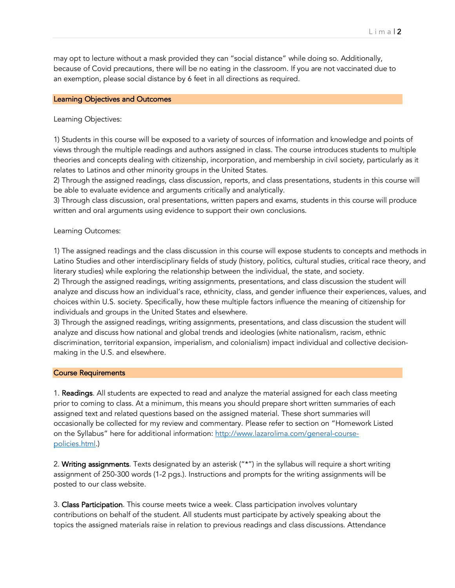may opt to lecture without a mask provided they can "social distance" while doing so. Additionally, because of Covid precautions, there will be no eating in the classroom. If you are not vaccinated due to an exemption, please social distance by 6 feet in all directions as required.

#### Learning Objectives and Outcomes

#### Learning Objectives:

1) Students in this course will be exposed to a variety of sources of information and knowledge and points of views through the multiple readings and authors assigned in class. The course introduces students to multiple theories and concepts dealing with citizenship, incorporation, and membership in civil society, particularly as it relates to Latinos and other minority groups in the United States.

2) Through the assigned readings, class discussion, reports, and class presentations, students in this course will be able to evaluate evidence and arguments critically and analytically.

3) Through class discussion, oral presentations, written papers and exams, students in this course will produce written and oral arguments using evidence to support their own conclusions.

## Learning Outcomes:

1) The assigned readings and the class discussion in this course will expose students to concepts and methods in Latino Studies and other interdisciplinary fields of study (history, politics, cultural studies, critical race theory, and literary studies) while exploring the relationship between the individual, the state, and society.

2) Through the assigned readings, writing assignments, presentations, and class discussion the student will analyze and discuss how an individual's race, ethnicity, class, and gender influence their experiences, values, and choices within U.S. society. Specifically, how these multiple factors influence the meaning of citizenship for individuals and groups in the United States and elsewhere.

3) Through the assigned readings, writing assignments, presentations, and class discussion the student will analyze and discuss how national and global trends and ideologies (white nationalism, racism, ethnic discrimination, territorial expansion, imperialism, and colonialism) impact individual and collective decisionmaking in the U.S. and elsewhere.

#### Course Requirements

1. **Readings**. All students are expected to read and analyze the material assigned for each class meeting prior to coming to class. At a minimum, this means you should prepare short written summaries of each assigned text and related questions based on the assigned material. These short summaries will occasionally be collected for my review and commentary. Please refer to section on "Homework Listed on the Syllabus" here for additional information: http://www.lazarolima.com/general-coursepolicies.html.)

2. Writing assignments. Texts designated by an asterisk ("\*") in the syllabus will require a short writing assignment of 250-300 words (1-2 pgs.). Instructions and prompts for the writing assignments will be posted to our class website.

3. Class Participation. This course meets twice a week. Class participation involves voluntary contributions on behalf of the student. All students must participate by actively speaking about the topics the assigned materials raise in relation to previous readings and class discussions. Attendance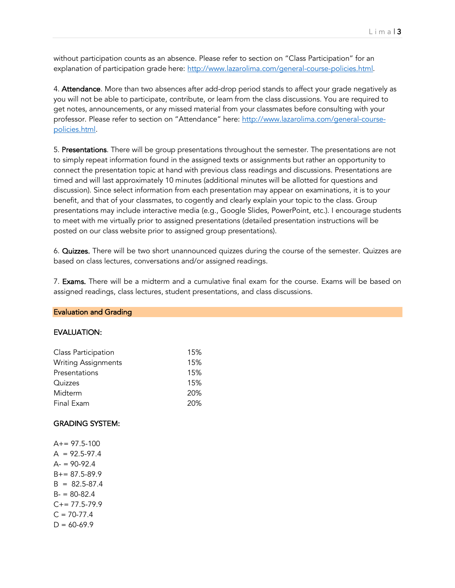without participation counts as an absence. Please refer to section on "Class Participation" for an explanation of participation grade here: http://www.lazarolima.com/general-course-policies.html.

4. Attendance. More than two absences after add-drop period stands to affect your grade negatively as you will not be able to participate, contribute, or learn from the class discussions. You are required to get notes, announcements, or any missed material from your classmates before consulting with your professor. Please refer to section on "Attendance" here: http://www.lazarolima.com/general-coursepolicies.html.

5. Presentations. There will be group presentations throughout the semester. The presentations are not to simply repeat information found in the assigned texts or assignments but rather an opportunity to connect the presentation topic at hand with previous class readings and discussions. Presentations are timed and will last approximately 10 minutes (additional minutes will be allotted for questions and discussion). Since select information from each presentation may appear on examinations, it is to your benefit, and that of your classmates, to cogently and clearly explain your topic to the class. Group presentations may include interactive media (e.g., Google Slides, PowerPoint, etc.). I encourage students to meet with me virtually prior to assigned presentations (detailed presentation instructions will be posted on our class website prior to assigned group presentations).

6. Quizzes. There will be two short unannounced quizzes during the course of the semester. Quizzes are based on class lectures, conversations and/or assigned readings.

7. Exams. There will be a midterm and a cumulative final exam for the course. Exams will be based on assigned readings, class lectures, student presentations, and class discussions.

#### Evaluation and Grading

## EVALUATION:

| Class Participation        | 15% |
|----------------------------|-----|
| <b>Writing Assignments</b> | 15% |
| Presentations              | 15% |
| Quizzes                    | 15% |
| Midterm                    | 20% |
| Final Exam                 | 20% |

#### GRADING SYSTEM:

 $A+= 97.5-100$  $A = 92.5 - 97.4$  $A = 90 - 92.4$  $B+= 87.5 - 89.9$  $B = 82.5 - 87.4$  $B - 80 - 82.4$  $C+= 77.5 - 79.9$  $C = 70-77.4$  $D = 60 - 69.9$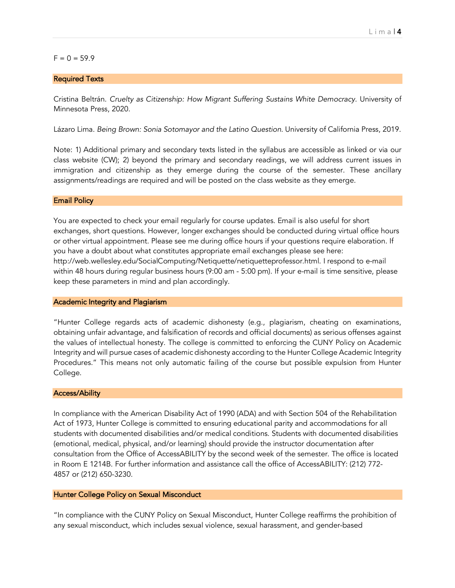## $F = 0 = 59.9$

### Required Texts

Cristina Beltrán. *Cruelty as Citizenship: How Migrant Suffering Sustains White Democracy*. University of Minnesota Press, 2020.

Lázaro Lima. *Being Brown: Sonia Sotomayor and the Latino Question*. University of California Press, 2019.

Note: 1) Additional primary and secondary texts listed in the syllabus are accessible as linked or via our class website (CW); 2) beyond the primary and secondary readings, we will address current issues in immigration and citizenship as they emerge during the course of the semester. These ancillary assignments/readings are required and will be posted on the class website as they emerge.

#### Email Policy

You are expected to check your email regularly for course updates. Email is also useful for short exchanges, short questions. However, longer exchanges should be conducted during virtual office hours or other virtual appointment. Please see me during office hours if your questions require elaboration. If you have a doubt about what constitutes appropriate email exchanges please see here: http://web.wellesley.edu/SocialComputing/Netiquette/netiquetteprofessor.html. I respond to e-mail within 48 hours during regular business hours (9:00 am - 5:00 pm). If your e-mail is time sensitive, please keep these parameters in mind and plan accordingly.

#### Academic Integrity and Plagiarism

"Hunter College regards acts of academic dishonesty (e.g., plagiarism, cheating on examinations, obtaining unfair advantage, and falsification of records and official documents) as serious offenses against the values of intellectual honesty. The college is committed to enforcing the CUNY Policy on Academic Integrity and will pursue cases of academic dishonesty according to the Hunter College Academic Integrity Procedures." This means not only automatic failing of the course but possible expulsion from Hunter College.

#### Access/Ability

In compliance with the American Disability Act of 1990 (ADA) and with Section 504 of the Rehabilitation Act of 1973, Hunter College is committed to ensuring educational parity and accommodations for all students with documented disabilities and/or medical conditions. Students with documented disabilities (emotional, medical, physical, and/or learning) should provide the instructor documentation after consultation from the Office of AccessABILITY by the second week of the semester. The office is located in Room E 1214B. For further information and assistance call the office of AccessABILITY: (212) 772- 4857 or (212) 650-3230.

#### Hunter College Policy on Sexual Misconduct

"In compliance with the CUNY Policy on Sexual Misconduct, Hunter College reaffirms the prohibition of any sexual misconduct, which includes sexual violence, sexual harassment, and gender-based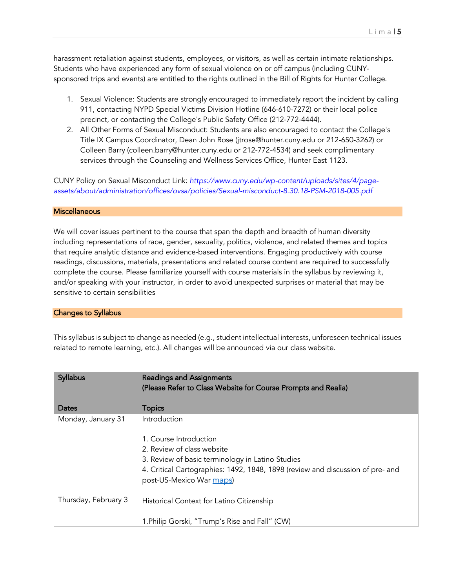harassment retaliation against students, employees, or visitors, as well as certain intimate relationships. Students who have experienced any form of sexual violence on or off campus (including CUNYsponsored trips and events) are entitled to the rights outlined in the Bill of Rights for Hunter College.

- 1. Sexual Violence: Students are strongly encouraged to immediately report the incident by calling 911, contacting NYPD Special Victims Division Hotline (646-610-7272) or their local police precinct, or contacting the College's Public Safety Office (212-772-4444).
- 2. All Other Forms of Sexual Misconduct: Students are also encouraged to contact the College's Title IX Campus Coordinator, Dean John Rose (jtrose@hunter.cuny.edu or 212-650-3262) or Colleen Barry (colleen.barry@hunter.cuny.edu or 212-772-4534) and seek complimentary services through the Counseling and Wellness Services Office, Hunter East 1123.

CUNY Policy on Sexual Misconduct Link: *https://www.cuny.edu/wp-content/uploads/sites/4/pageassets/about/administration/offices/ovsa/policies/Sexual-misconduct-8.30.18-PSM-2018-005.pdf*

## **Miscellaneous**

We will cover issues pertinent to the course that span the depth and breadth of human diversity including representations of race, gender, sexuality, politics, violence, and related themes and topics that require analytic distance and evidence-based interventions. Engaging productively with course readings, discussions, materials, presentations and related course content are required to successfully complete the course. Please familiarize yourself with course materials in the syllabus by reviewing it, and/or speaking with your instructor, in order to avoid unexpected surprises or material that may be sensitive to certain sensibilities

## Changes to Syllabus

This syllabus is subject to change as needed (e.g., student intellectual interests, unforeseen technical issues related to remote learning, etc.). All changes will be announced via our class website.

| <b>Syllabus</b>      | <b>Readings and Assignments</b><br>(Please Refer to Class Website for Course Prompts and Realia) |
|----------------------|--------------------------------------------------------------------------------------------------|
| Dates                | <b>Topics</b>                                                                                    |
| Monday, January 31   | Introduction                                                                                     |
|                      | 1. Course Introduction                                                                           |
|                      | 2. Review of class website                                                                       |
|                      | 3. Review of basic terminology in Latino Studies                                                 |
|                      | 4. Critical Cartographies: 1492, 1848, 1898 (review and discussion of pre- and                   |
|                      | post-US-Mexico War maps)                                                                         |
| Thursday, February 3 | Historical Context for Latino Citizenship                                                        |
|                      | 1. Philip Gorski, "Trump's Rise and Fall" (CW)                                                   |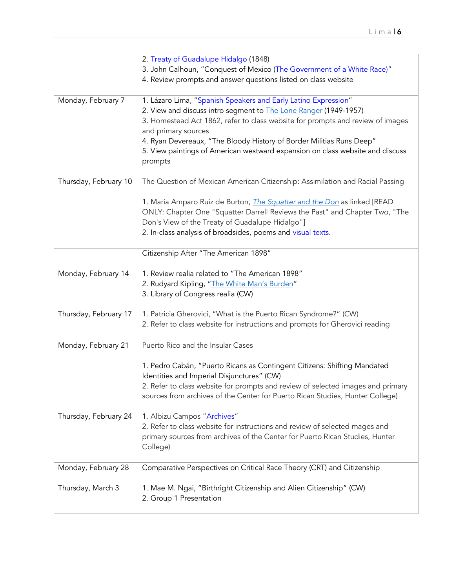|                       | 2. Treaty of Guadalupe Hidalgo (1848)                                                    |
|-----------------------|------------------------------------------------------------------------------------------|
|                       | 3. John Calhoun, "Conquest of Mexico (The Government of a White Race)"                   |
|                       | 4. Review prompts and answer questions listed on class website                           |
|                       |                                                                                          |
| Monday, February 7    | 1. Lázaro Lima, "Spanish Speakers and Early Latino Expression"                           |
|                       | 2. View and discuss intro segment to <b>The Lone Ranger</b> (1949-1957)                  |
|                       | 3. Homestead Act 1862, refer to class website for prompts and review of images           |
|                       | and primary sources                                                                      |
|                       | 4. Ryan Devereaux, "The Bloody History of Border Militias Runs Deep"                     |
|                       | 5. View paintings of American westward expansion on class website and discuss            |
|                       | prompts                                                                                  |
|                       |                                                                                          |
| Thursday, February 10 | The Question of Mexican American Citizenship: Assimilation and Racial Passing            |
|                       |                                                                                          |
|                       | 1. María Amparo Ruiz de Burton, <i>The Squatter and the Don</i> as linked [READ          |
|                       | ONLY: Chapter One "Squatter Darrell Reviews the Past" and Chapter Two, "The              |
|                       | Don's View of the Treaty of Guadalupe Hidalgo"]                                          |
|                       | 2. In-class analysis of broadsides, poems and visual texts.                              |
|                       | Citizenship After "The American 1898"                                                    |
|                       |                                                                                          |
| Monday, February 14   | 1. Review realia related to "The American 1898"                                          |
|                       | 2. Rudyard Kipling, "The White Man's Burden"                                             |
|                       | 3. Library of Congress realia (CW)                                                       |
|                       |                                                                                          |
| Thursday, February 17 | 1. Patricia Gherovici, "What is the Puerto Rican Syndrome?" (CW)                         |
|                       | 2. Refer to class website for instructions and prompts for Gherovici reading             |
|                       |                                                                                          |
| Monday, February 21   | Puerto Rico and the Insular Cases                                                        |
|                       |                                                                                          |
|                       | 1. Pedro Cabán, "Puerto Ricans as Contingent Citizens: Shifting Mandated                 |
|                       | Identities and Imperial Disjunctures" (CW)                                               |
|                       | 2. Refer to class website for prompts and review of selected images and primary          |
|                       | sources from archives of the Center for Puerto Rican Studies, Hunter College)            |
|                       |                                                                                          |
| Thursday, February 24 | 1. Albizu Campos "Archives"                                                              |
|                       | 2. Refer to class website for instructions and review of selected mages and              |
|                       | primary sources from archives of the Center for Puerto Rican Studies, Hunter<br>College) |
|                       |                                                                                          |
| Monday, February 28   | Comparative Perspectives on Critical Race Theory (CRT) and Citizenship                   |
|                       |                                                                                          |
| Thursday, March 3     | 1. Mae M. Ngai, "Birthright Citizenship and Alien Citizenship" (CW)                      |
|                       | 2. Group 1 Presentation                                                                  |
|                       |                                                                                          |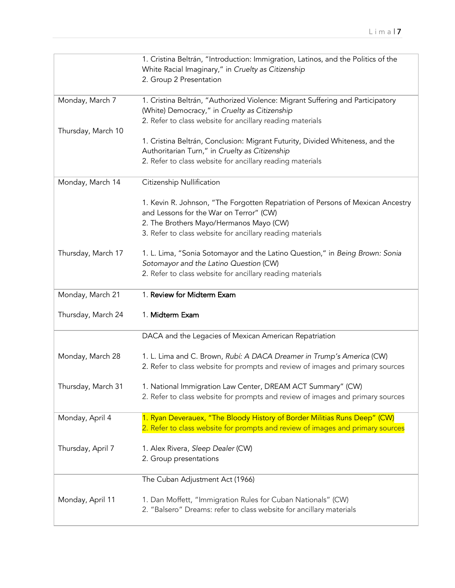|                    | 1. Cristina Beltrán, "Introduction: Immigration, Latinos, and the Politics of the                    |
|--------------------|------------------------------------------------------------------------------------------------------|
|                    | White Racial Imaginary," in Cruelty as Citizenship                                                   |
|                    | 2. Group 2 Presentation                                                                              |
|                    |                                                                                                      |
| Monday, March 7    | 1. Cristina Beltrán, "Authorized Violence: Migrant Suffering and Participatory                       |
|                    | (White) Democracy," in Cruelty as Citizenship                                                        |
|                    | 2. Refer to class website for ancillary reading materials                                            |
| Thursday, March 10 |                                                                                                      |
|                    | 1. Cristina Beltrán, Conclusion: Migrant Futurity, Divided Whiteness, and the                        |
|                    | Authoritarian Turn," in Cruelty as Citizenship                                                       |
|                    | 2. Refer to class website for ancillary reading materials                                            |
| Monday, March 14   | Citizenship Nullification                                                                            |
|                    |                                                                                                      |
|                    | 1. Kevin R. Johnson, "The Forgotten Repatriation of Persons of Mexican Ancestry                      |
|                    | and Lessons for the War on Terror" (CW)                                                              |
|                    | 2. The Brothers Mayo/Hermanos Mayo (CW)<br>3. Refer to class website for ancillary reading materials |
|                    |                                                                                                      |
| Thursday, March 17 | 1. L. Lima, "Sonia Sotomayor and the Latino Question," in Being Brown: Sonia                         |
|                    | Sotomayor and the Latino Question (CW)                                                               |
|                    | 2. Refer to class website for ancillary reading materials                                            |
|                    |                                                                                                      |
|                    |                                                                                                      |
| Monday, March 21   | 1. Review for Midterm Exam                                                                           |
| Thursday, March 24 | 1. Midterm Exam                                                                                      |
|                    | DACA and the Legacies of Mexican American Repatriation                                               |
|                    |                                                                                                      |
| Monday, March 28   | 1. L. Lima and C. Brown, Rubí: A DACA Dreamer in Trump's America (CW)                                |
|                    | 2. Refer to class website for prompts and review of images and primary sources                       |
|                    |                                                                                                      |
| Thursday, March 31 | 1. National Immigration Law Center, DREAM ACT Summary" (CW)                                          |
|                    | 2. Refer to class website for prompts and review of images and primary sources                       |
|                    |                                                                                                      |
| Monday, April 4    | 1. Ryan Deverauex, "The Bloody History of Border Militias Runs Deep" (CW)                            |
|                    | 2. Refer to class website for prompts and review of images and primary sources                       |
|                    |                                                                                                      |
| Thursday, April 7  | 1. Alex Rivera, Sleep Dealer (CW)                                                                    |
|                    | 2. Group presentations                                                                               |
|                    | The Cuban Adjustment Act (1966)                                                                      |
|                    |                                                                                                      |
| Monday, April 11   | 1. Dan Moffett, "Immigration Rules for Cuban Nationals" (CW)                                         |
|                    | 2. "Balsero" Dreams: refer to class website for ancillary materials                                  |